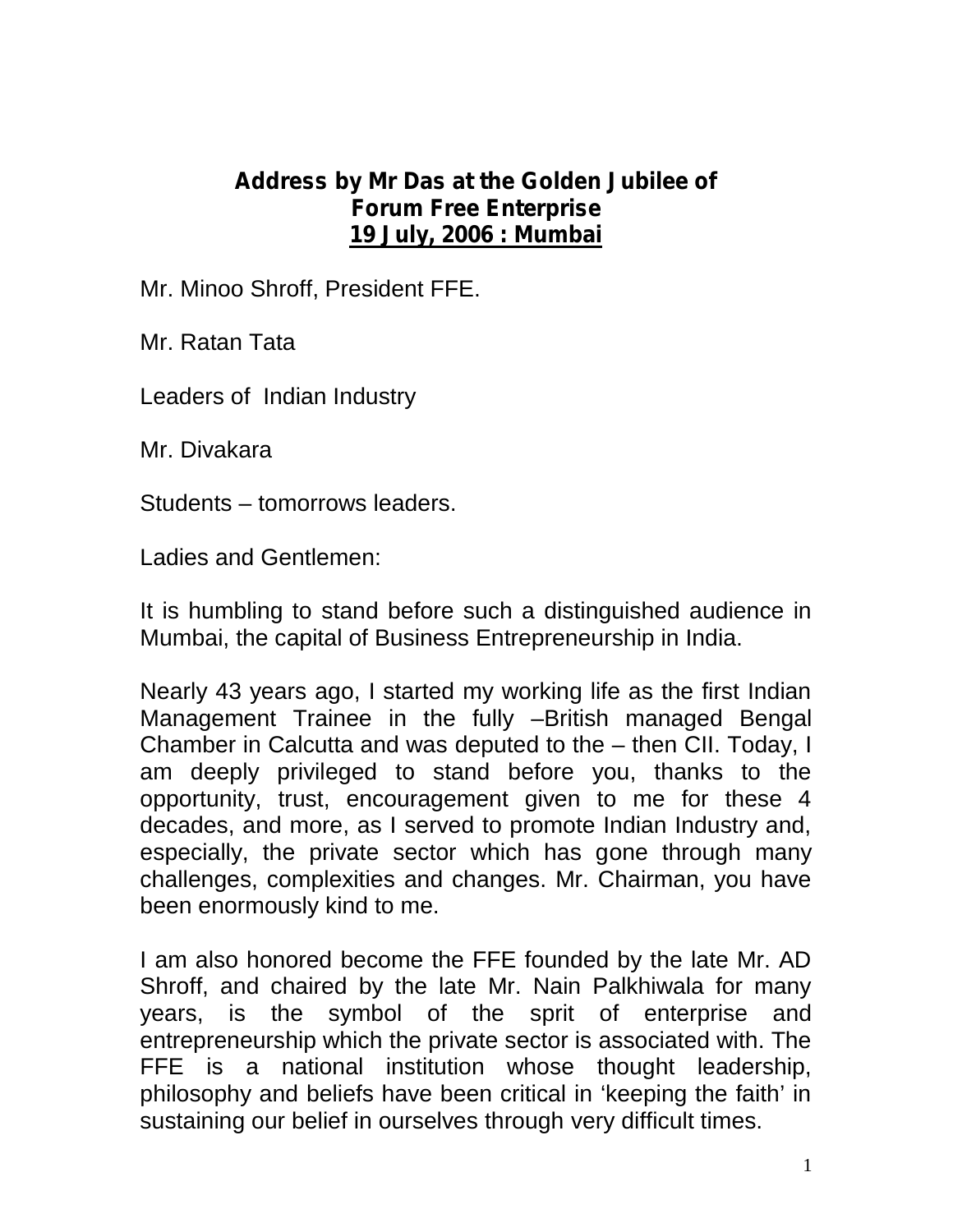## **Address by Mr Das at the Golden Jubilee of Forum Free Enterprise 19 July, 2006 : Mumbai**

Mr. Minoo Shroff, President FFE.

Mr. Ratan Tata

Leaders of Indian Industry

Mr. Divakara

Students – tomorrows leaders.

Ladies and Gentlemen:

It is humbling to stand before such a distinguished audience in Mumbai, the capital of Business Entrepreneurship in India.

Nearly 43 years ago, I started my working life as the first Indian Management Trainee in the fully –British managed Bengal Chamber in Calcutta and was deputed to the – then CII. Today, I am deeply privileged to stand before you, thanks to the opportunity, trust, encouragement given to me for these 4 decades, and more, as I served to promote Indian Industry and, especially, the private sector which has gone through many challenges, complexities and changes. Mr. Chairman, you have been enormously kind to me.

I am also honored become the FFE founded by the late Mr. AD Shroff, and chaired by the late Mr. Nain Palkhiwala for many years, is the symbol of the sprit of enterprise and entrepreneurship which the private sector is associated with. The FFE is a national institution whose thought leadership, philosophy and beliefs have been critical in 'keeping the faith' in sustaining our belief in ourselves through very difficult times.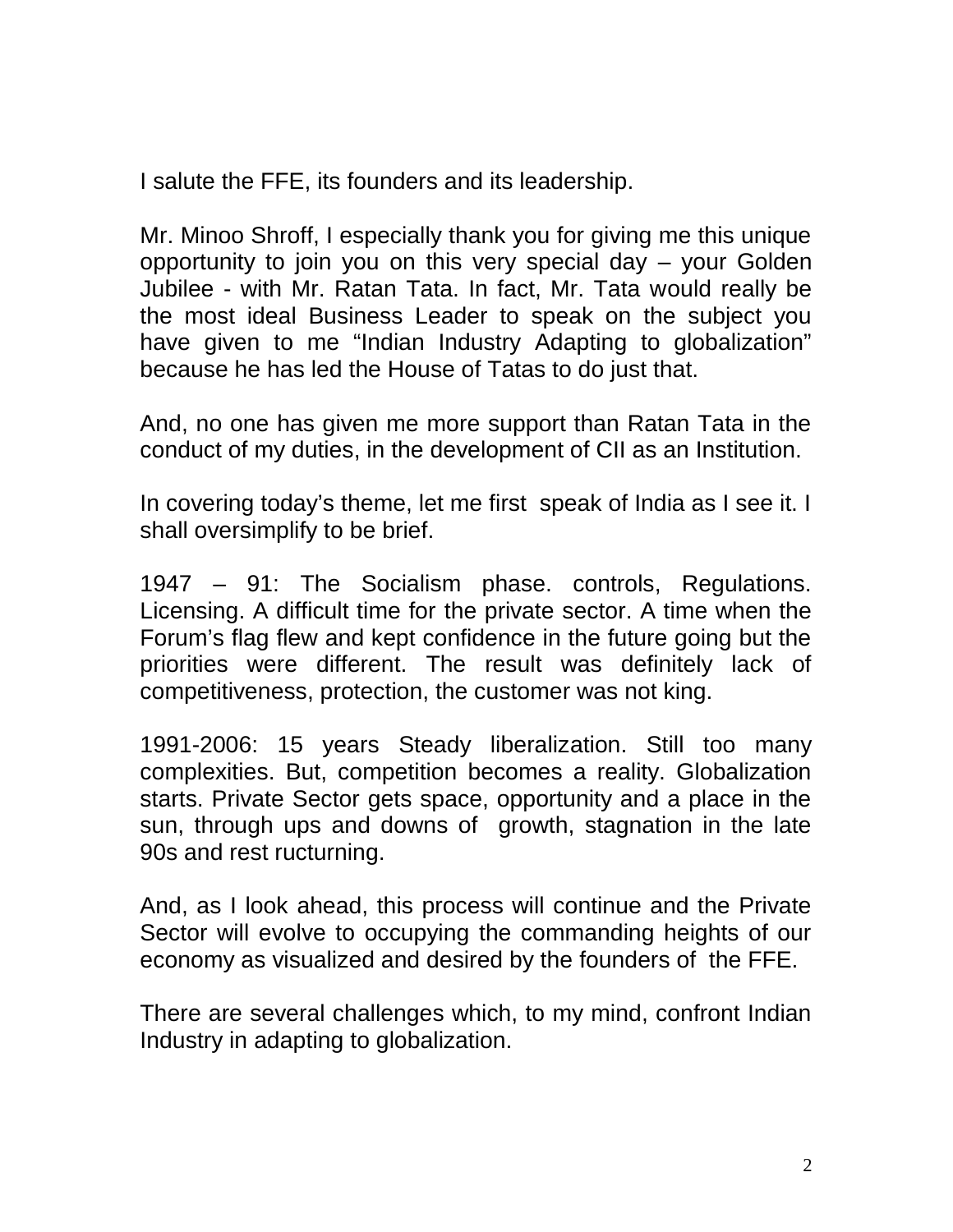I salute the FFE, its founders and its leadership.

Mr. Minoo Shroff, I especially thank you for giving me this unique opportunity to join you on this very special day – your Golden Jubilee - with Mr. Ratan Tata. In fact, Mr. Tata would really be the most ideal Business Leader to speak on the subject you have given to me "Indian Industry Adapting to globalization" because he has led the House of Tatas to do just that.

And, no one has given me more support than Ratan Tata in the conduct of my duties, in the development of CII as an Institution.

In covering today's theme, let me first speak of India as I see it. I shall oversimplify to be brief.

1947 – 91: The Socialism phase. controls, Regulations. Licensing. A difficult time for the private sector. A time when the Forum's flag flew and kept confidence in the future going but the priorities were different. The result was definitely lack of competitiveness, protection, the customer was not king.

1991-2006: 15 years Steady liberalization. Still too many complexities. But, competition becomes a reality. Globalization starts. Private Sector gets space, opportunity and a place in the sun, through ups and downs of growth, stagnation in the late 90s and rest ructurning.

And, as I look ahead, this process will continue and the Private Sector will evolve to occupying the commanding heights of our economy as visualized and desired by the founders of the FFE.

There are several challenges which, to my mind, confront Indian Industry in adapting to globalization.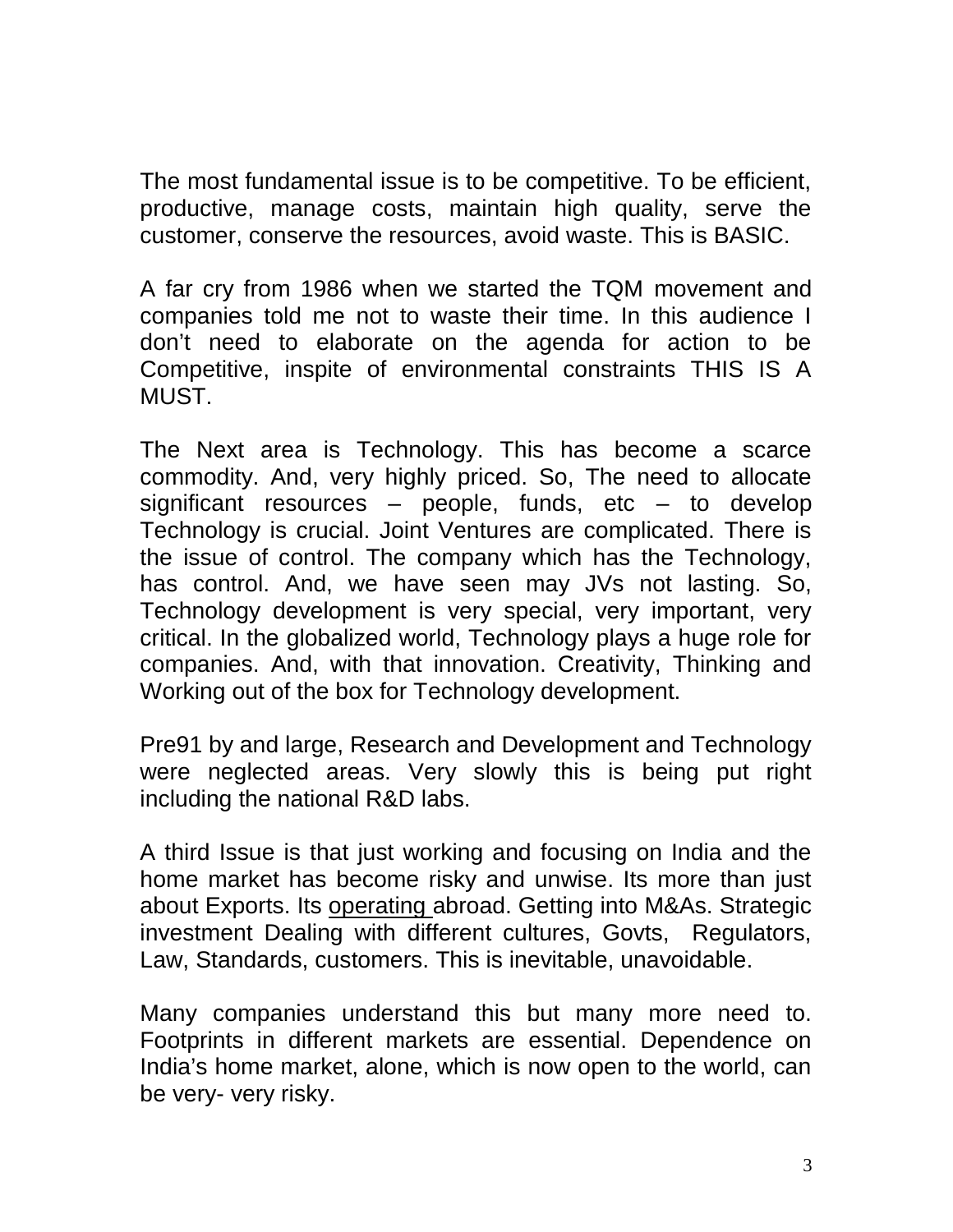The most fundamental issue is to be competitive. To be efficient, productive, manage costs, maintain high quality, serve the customer, conserve the resources, avoid waste. This is BASIC.

A far cry from 1986 when we started the TQM movement and companies told me not to waste their time. In this audience I don't need to elaborate on the agenda for action to be Competitive, inspite of environmental constraints THIS IS A MUST.

The Next area is Technology. This has become a scarce commodity. And, very highly priced. So, The need to allocate significant resources  $-$  people, funds, etc  $-$  to develop Technology is crucial. Joint Ventures are complicated. There is the issue of control. The company which has the Technology, has control. And, we have seen may JVs not lasting. So, Technology development is very special, very important, very critical. In the globalized world, Technology plays a huge role for companies. And, with that innovation. Creativity, Thinking and Working out of the box for Technology development.

Pre91 by and large, Research and Development and Technology were neglected areas. Very slowly this is being put right including the national R&D labs.

A third Issue is that just working and focusing on India and the home market has become risky and unwise. Its more than just about Exports. Its operating abroad. Getting into M&As. Strategic investment Dealing with different cultures, Govts, Regulators, Law, Standards, customers. This is inevitable, unavoidable.

Many companies understand this but many more need to. Footprints in different markets are essential. Dependence on India's home market, alone, which is now open to the world, can be very- very risky.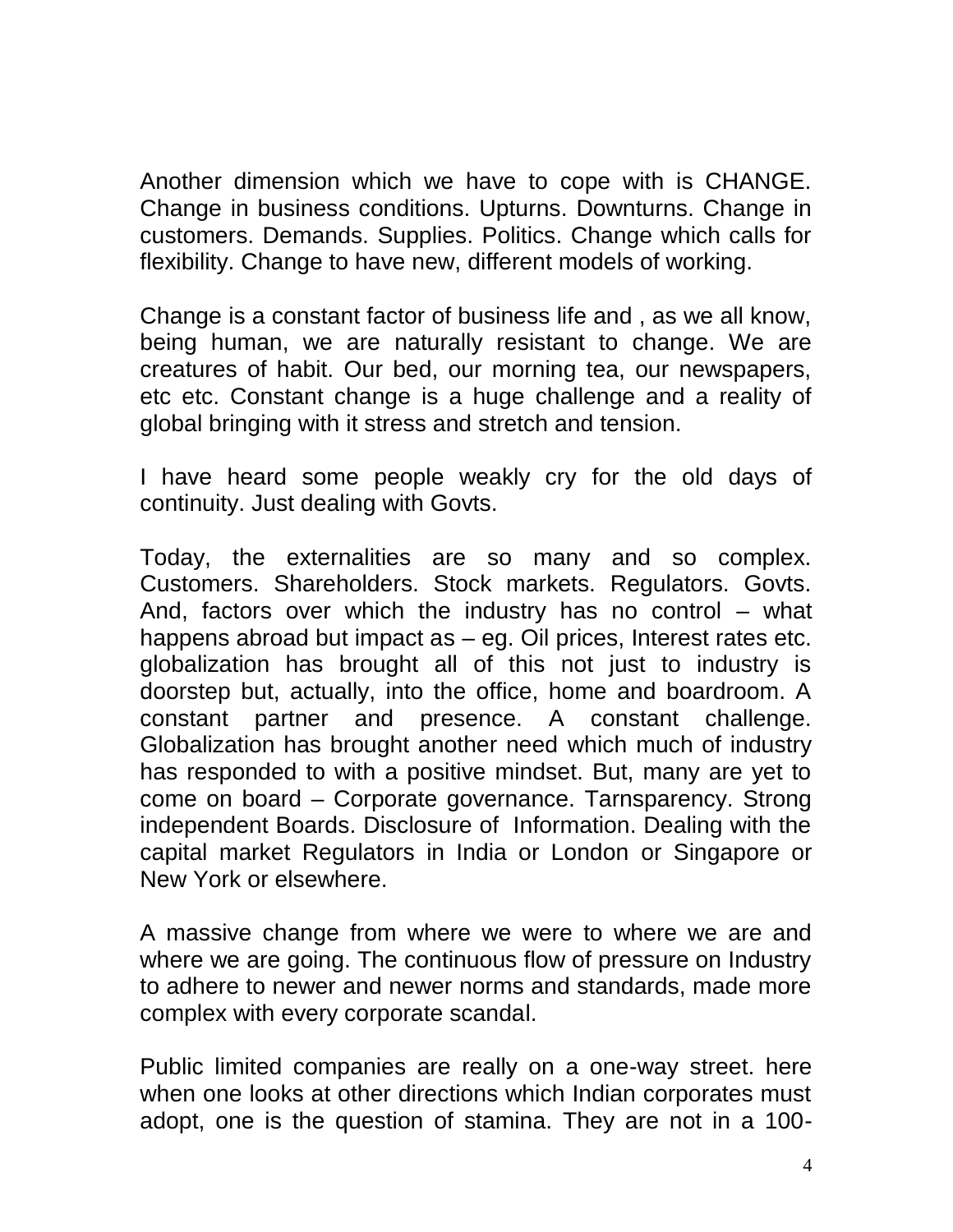Another dimension which we have to cope with is CHANGE. Change in business conditions. Upturns. Downturns. Change in customers. Demands. Supplies. Politics. Change which calls for flexibility. Change to have new, different models of working.

Change is a constant factor of business life and , as we all know, being human, we are naturally resistant to change. We are creatures of habit. Our bed, our morning tea, our newspapers, etc etc. Constant change is a huge challenge and a reality of global bringing with it stress and stretch and tension.

I have heard some people weakly cry for the old days of continuity. Just dealing with Govts.

Today, the externalities are so many and so complex. Customers. Shareholders. Stock markets. Regulators. Govts. And, factors over which the industry has no control – what happens abroad but impact as – eg. Oil prices, Interest rates etc. globalization has brought all of this not just to industry is doorstep but, actually, into the office, home and boardroom. A constant partner and presence. A constant challenge. Globalization has brought another need which much of industry has responded to with a positive mindset. But, many are yet to come on board – Corporate governance. Tarnsparency. Strong independent Boards. Disclosure of Information. Dealing with the capital market Regulators in India or London or Singapore or New York or elsewhere.

A massive change from where we were to where we are and where we are going. The continuous flow of pressure on Industry to adhere to newer and newer norms and standards, made more complex with every corporate scandal.

Public limited companies are really on a one-way street. here when one looks at other directions which Indian corporates must adopt, one is the question of stamina. They are not in a 100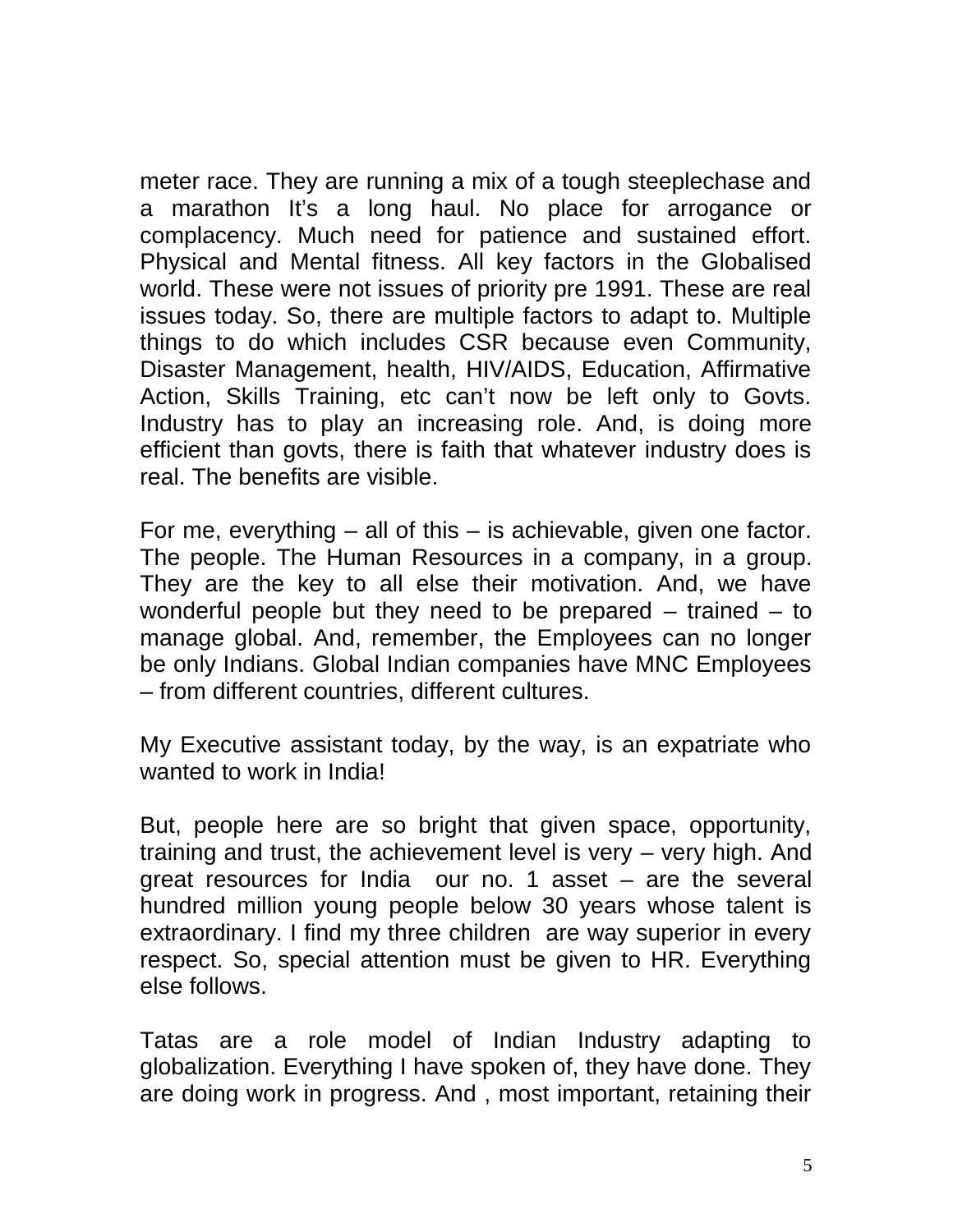meter race. They are running a mix of a tough steeplechase and a marathon It's a long haul. No place for arrogance or complacency. Much need for patience and sustained effort. Physical and Mental fitness. All key factors in the Globalised world. These were not issues of priority pre 1991. These are real issues today. So, there are multiple factors to adapt to. Multiple things to do which includes CSR because even Community, Disaster Management, health, HIV/AIDS, Education, Affirmative Action, Skills Training, etc can't now be left only to Govts. Industry has to play an increasing role. And, is doing more efficient than govts, there is faith that whatever industry does is real. The benefits are visible.

For me, everything  $-$  all of this  $-$  is achievable, given one factor. The people. The Human Resources in a company, in a group. They are the key to all else their motivation. And, we have wonderful people but they need to be prepared  $-$  trained  $-$  to manage global. And, remember, the Employees can no longer be only Indians. Global Indian companies have MNC Employees – from different countries, different cultures.

My Executive assistant today, by the way, is an expatriate who wanted to work in India!

But, people here are so bright that given space, opportunity, training and trust, the achievement level is very – very high. And great resources for India our no. 1 asset – are the several hundred million young people below 30 years whose talent is extraordinary. I find my three children are way superior in every respect. So, special attention must be given to HR. Everything else follows.

Tatas are a role model of Indian Industry adapting to globalization. Everything I have spoken of, they have done. They are doing work in progress. And , most important, retaining their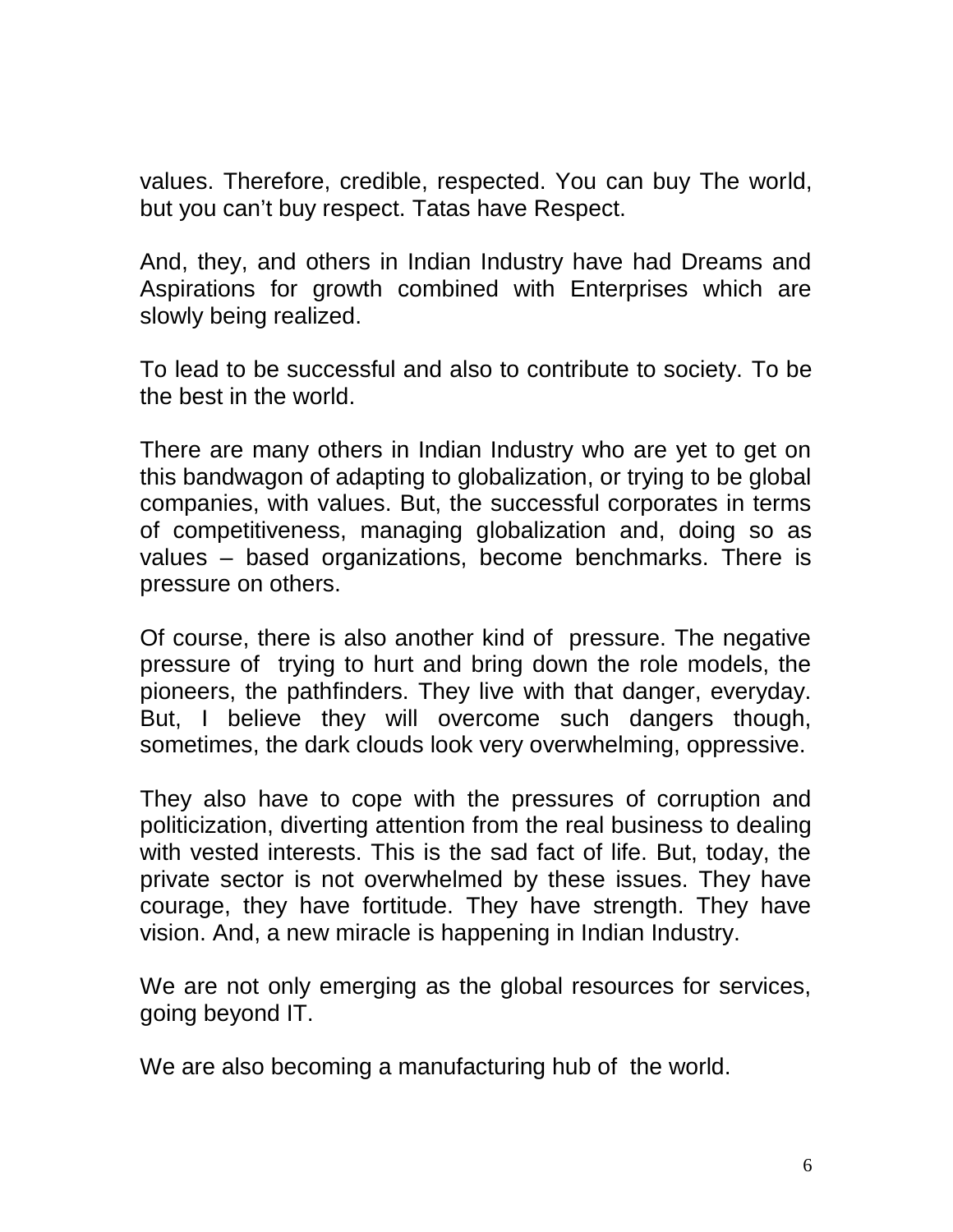values. Therefore, credible, respected. You can buy The world, but you can't buy respect. Tatas have Respect.

And, they, and others in Indian Industry have had Dreams and Aspirations for growth combined with Enterprises which are slowly being realized.

To lead to be successful and also to contribute to society. To be the best in the world.

There are many others in Indian Industry who are yet to get on this bandwagon of adapting to globalization, or trying to be global companies, with values. But, the successful corporates in terms of competitiveness, managing globalization and, doing so as values – based organizations, become benchmarks. There is pressure on others.

Of course, there is also another kind of pressure. The negative pressure of trying to hurt and bring down the role models, the pioneers, the pathfinders. They live with that danger, everyday. But, I believe they will overcome such dangers though, sometimes, the dark clouds look very overwhelming, oppressive.

They also have to cope with the pressures of corruption and politicization, diverting attention from the real business to dealing with vested interests. This is the sad fact of life. But, today, the private sector is not overwhelmed by these issues. They have courage, they have fortitude. They have strength. They have vision. And, a new miracle is happening in Indian Industry.

We are not only emerging as the global resources for services, going beyond IT.

We are also becoming a manufacturing hub of the world.